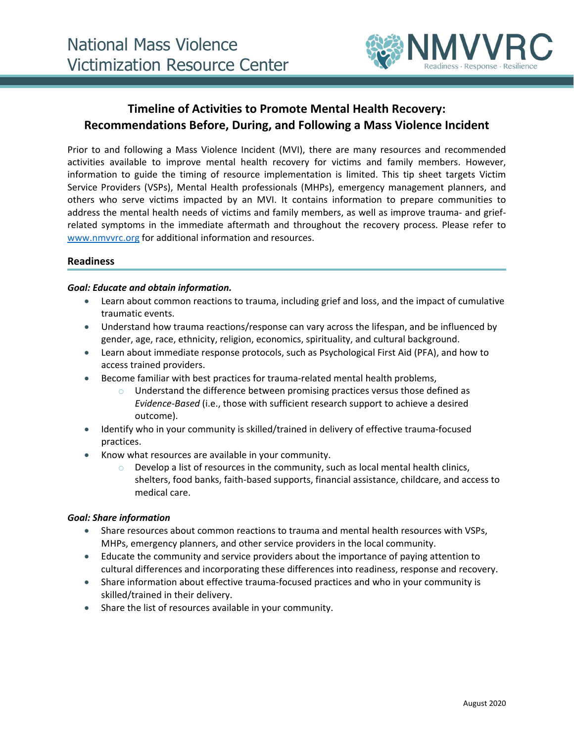

# **Timeline of Activities to Promote Mental Health Recovery: Recommendations Before, During, and Following a Mass Violence Incident**

Prior to and following a Mass Violence Incident (MVI), there are many resources and recommended activities available to improve mental health recovery for victims and family members. However, information to guide the timing of resource implementation is limited. This tip sheet targets Victim Service Providers (VSPs), Mental Health professionals (MHPs), emergency management planners, and others who serve victims impacted by an MVI. It contains information to prepare communities to address the mental health needs of victims and family members, as well as improve trauma- and griefrelated symptoms in the immediate aftermath and throughout the recovery process. Please refer to [www.nmvvrc.org](http://www.nmvvrc.org/) for additional information and resources.

### **Readiness**

#### *Goal: Educate and obtain information.*

- Learn about common reactions to trauma, including grief and loss, and the impact of cumulative traumatic events.
- Understand how trauma reactions/response can vary across the lifespan, and be influenced by gender, age, race, ethnicity, religion, economics, spirituality, and cultural background.
- Learn about immediate response protocols, such as Psychological First Aid (PFA), and how to access trained providers.
- Become familiar with best practices for trauma-related mental health problems,
	- $\circ$  Understand the difference between promising practices versus those defined as *Evidence-Based* (i.e., those with sufficient research support to achieve a desired outcome).
- Identify who in your community is skilled/trained in delivery of effective trauma-focused practices.
- Know what resources are available in your community.
	- $\circ$  Develop a list of resources in the community, such as local mental health clinics, shelters, food banks, faith-based supports, financial assistance, childcare, and access to medical care.

#### *Goal: Share information*

- Share resources about common reactions to trauma and mental health resources with VSPs, MHPs, emergency planners, and other service providers in the local community.
- Educate the community and service providers about the importance of paying attention to cultural differences and incorporating these differences into readiness, response and recovery.
- Share information about effective trauma-focused practices and who in your community is skilled/trained in their delivery.
- Share the list of resources available in your community.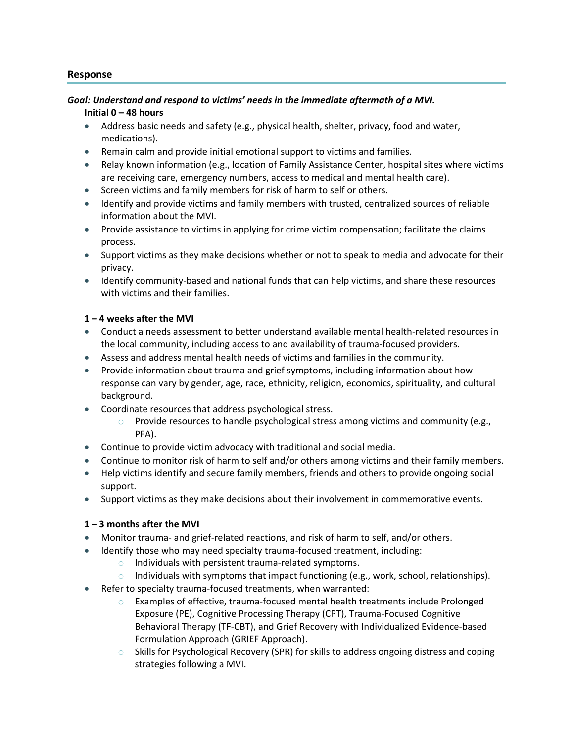### **Response**

## *Goal: Understand and respond to victims' needs in the immediate aftermath of a MVI.*

### **Initial 0 – 48 hours**

- Address basic needs and safety (e.g., physical health, shelter, privacy, food and water, medications).
- Remain calm and provide initial emotional support to victims and families.
- Relay known information (e.g., location of Family Assistance Center, hospital sites where victims are receiving care, emergency numbers, access to medical and mental health care).
- Screen victims and family members for risk of harm to self or others.
- Identify and provide victims and family members with trusted, centralized sources of reliable information about the MVI.
- Provide assistance to victims in applying for crime victim compensation; facilitate the claims process.
- Support victims as they make decisions whether or not to speak to media and advocate for their privacy.
- Identify community-based and national funds that can help victims, and share these resources with victims and their families.

### **1 – 4 weeks after the MVI**

- Conduct a needs assessment to better understand available mental health-related resources in the local community, including access to and availability of trauma-focused providers.
- Assess and address mental health needs of victims and families in the community.
- Provide information about trauma and grief symptoms, including information about how response can vary by gender, age, race, ethnicity, religion, economics, spirituality, and cultural background.
- Coordinate resources that address psychological stress.
	- $\circ$  Provide resources to handle psychological stress among victims and community (e.g., PFA).
- Continue to provide victim advocacy with traditional and social media.
- Continue to monitor risk of harm to self and/or others among victims and their family members.
- Help victims identify and secure family members, friends and others to provide ongoing social support.
- Support victims as they make decisions about their involvement in commemorative events.

### **1 – 3 months after the MVI**

- Monitor trauma- and grief-related reactions, and risk of harm to self, and/or others.
- Identify those who may need specialty trauma-focused treatment, including:
	- $\circ$  Individuals with persistent trauma-related symptoms.
	- $\circ$  Individuals with symptoms that impact functioning (e.g., work, school, relationships).
- Refer to specialty trauma-focused treatments, when warranted:
	- $\circ$  Examples of effective, trauma-focused mental health treatments include Prolonged Exposure (PE), Cognitive Processing Therapy (CPT), Trauma-Focused Cognitive Behavioral Therapy (TF-CBT), and Grief Recovery with Individualized Evidence-based Formulation Approach (GRIEF Approach).
	- o Skills for Psychological Recovery (SPR) for skills to address ongoing distress and coping strategies following a MVI.